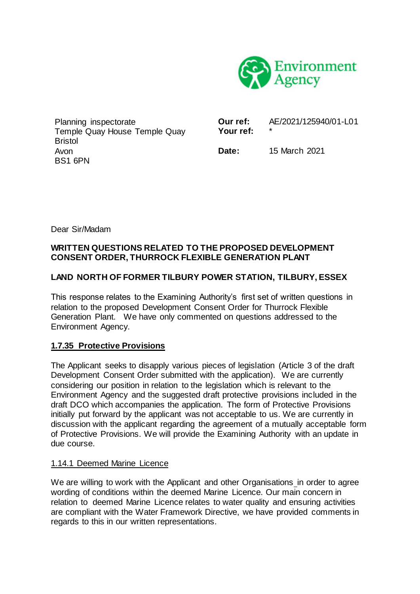

Planning inspectorate Temple Quay House Temple Quay **Bristol** Avon BS1 6PN

**Our ref:** AF/2021/125940/01-L01 Your ref:

**Date:** 15 March 2021

Dear Sir/Madam

### **WRITTEN QUESTIONS RELATED TO THE PROPOSED DEVELOPMENT CONSENT ORDER, THURROCK FLEXIBLE GENERATION PLANT**

## **LAND NORTH OF FORMER TILBURY POWER STATION, TILBURY, ESSEX**

This response relates to the Examining Authority's first set of written questions in relation to the proposed Development Consent Order for Thurrock Flexible Generation Plant. We have only commented on questions addressed to the Environment Agency.

### **1.7.35 Protective Provisions**

The Applicant seeks to disapply various pieces of legislation (Article 3 of the draft Development Consent Order submitted with the application). We are currently considering our position in relation to the legislation which is relevant to the Environment Agency and the suggested draft protective provisions included in the draft DCO which accompanies the application. The form of Protective Provisions initially put forward by the applicant was not acceptable to us. We are currently in discussion with the applicant regarding the agreement of a mutually acceptable form of Protective Provisions. We will provide the Examining Authority with an update in due course.

### 1.14.1 Deemed Marine Licence

We are willing to work with the Applicant and other Organisations in order to agree wording of conditions within the deemed Marine Licence. Our main concern in relation to deemed Marine Licence relates to water quality and ensuring activities are compliant with the Water Framework Directive, we have provided comments in regards to this in our written representations.